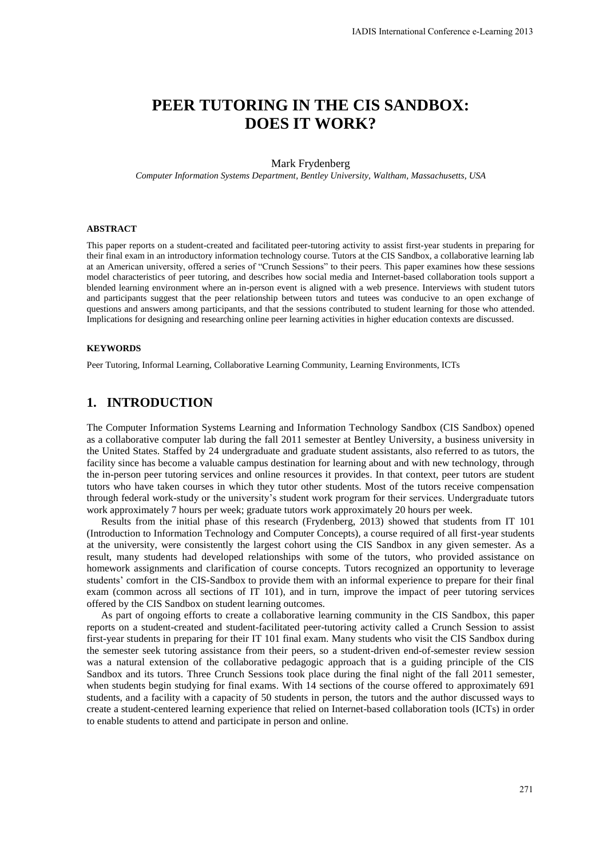# **PEER TUTORING IN THE CIS SANDBOX: DOES IT WORK?**

#### Mark Frydenberg

*Computer Information Systems Department, Bentley University, Waltham, Massachusetts, USA* 

#### **ABSTRACT**

This paper reports on a student-created and facilitated peer-tutoring activity to assist first-year students in preparing for their final exam in an introductory information technology course. Tutors at the CIS Sandbox, a collaborative learning lab at an American university, offered a series of "Crunch Sessions" to their peers. This paper examines how these sessions model characteristics of peer tutoring, and describes how social media and Internet-based collaboration tools support a blended learning environment where an in-person event is aligned with a web presence. Interviews with student tutors and participants suggest that the peer relationship between tutors and tutees was conducive to an open exchange of questions and answers among participants, and that the sessions contributed to student learning for those who attended. Implications for designing and researching online peer learning activities in higher education contexts are discussed.

#### **KEYWORDS**

Peer Tutoring, Informal Learning, Collaborative Learning Community, Learning Environments, ICTs

### **1. INTRODUCTION**

The Computer Information Systems Learning and Information Technology Sandbox (CIS Sandbox) opened as a collaborative computer lab during the fall 2011 semester at Bentley University, a business university in the United States. Staffed by 24 undergraduate and graduate student assistants, also referred to as tutors, the facility since has become a valuable campus destination for learning about and with new technology, through the in-person peer tutoring services and online resources it provides. In that context, peer tutors are student tutors who have taken courses in which they tutor other students. Most of the tutors receive compensation through federal work-study or the university's student work program for their services. Undergraduate tutors work approximately 7 hours per week; graduate tutors work approximately 20 hours per week.

Results from the initial phase of this research (Frydenberg, 2013) showed that students from IT 101 (Introduction to Information Technology and Computer Concepts), a course required of all first-year students at the university, were consistently the largest cohort using the CIS Sandbox in any given semester. As a result, many students had developed relationships with some of the tutors, who provided assistance on homework assignments and clarification of course concepts. Tutors recognized an opportunity to leverage students' comfort in the CIS-Sandbox to provide them with an informal experience to prepare for their final exam (common across all sections of IT 101), and in turn, improve the impact of peer tutoring services offered by the CIS Sandbox on student learning outcomes.

As part of ongoing efforts to create a collaborative learning community in the CIS Sandbox, this paper reports on a student-created and student-facilitated peer-tutoring activity called a Crunch Session to assist first-year students in preparing for their IT 101 final exam. Many students who visit the CIS Sandbox during the semester seek tutoring assistance from their peers, so a student-driven end-of-semester review session was a natural extension of the collaborative pedagogic approach that is a guiding principle of the CIS Sandbox and its tutors. Three Crunch Sessions took place during the final night of the fall 2011 semester, when students begin studying for final exams. With 14 sections of the course offered to approximately 691 students, and a facility with a capacity of 50 students in person, the tutors and the author discussed ways to create a student-centered learning experience that relied on Internet-based collaboration tools (ICTs) in order to enable students to attend and participate in person and online.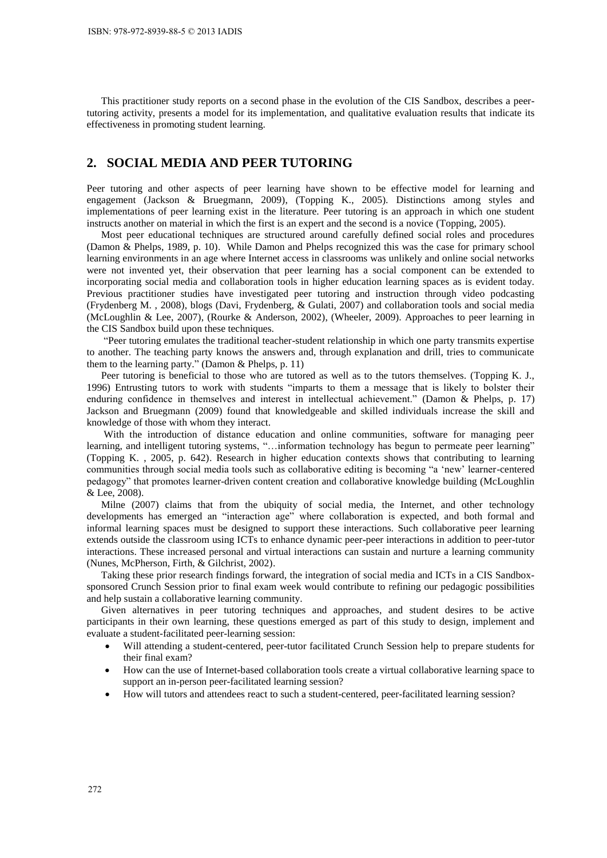This practitioner study reports on a second phase in the evolution of the CIS Sandbox, describes a peertutoring activity, presents a model for its implementation, and qualitative evaluation results that indicate its effectiveness in promoting student learning.

# **2. SOCIAL MEDIA AND PEER TUTORING**

Peer tutoring and other aspects of peer learning have shown to be effective model for learning and engagement (Jackson & Bruegmann, 2009), (Topping K., 2005). Distinctions among styles and implementations of peer learning exist in the literature. Peer tutoring is an approach in which one student instructs another on material in which the first is an expert and the second is a novice (Topping, 2005).

Most peer educational techniques are structured around carefully defined social roles and procedures (Damon & Phelps, 1989, p. 10). While Damon and Phelps recognized this was the case for primary school learning environments in an age where Internet access in classrooms was unlikely and online social networks were not invented yet, their observation that peer learning has a social component can be extended to incorporating social media and collaboration tools in higher education learning spaces as is evident today. Previous practitioner studies have investigated peer tutoring and instruction through video podcasting (Frydenberg M. , 2008), blogs (Davi, Frydenberg, & Gulati, 2007) and collaboration tools and social media (McLoughlin & Lee, 2007), (Rourke & Anderson, 2002), (Wheeler, 2009). Approaches to peer learning in the CIS Sandbox build upon these techniques.

"Peer tutoring emulates the traditional teacher-student relationship in which one party transmits expertise to another. The teaching party knows the answers and, through explanation and drill, tries to communicate them to the learning party." (Damon & Phelps, p. 11)

Peer tutoring is beneficial to those who are tutored as well as to the tutors themselves. (Topping K. J., 1996) Entrusting tutors to work with students "imparts to them a message that is likely to bolster their enduring confidence in themselves and interest in intellectual achievement." (Damon & Phelps, p. 17) Jackson and Bruegmann (2009) found that knowledgeable and skilled individuals increase the skill and knowledge of those with whom they interact.

 With the introduction of distance education and online communities, software for managing peer learning, and intelligent tutoring systems, "...information technology has begun to permeate peer learning" (Topping K. , 2005, p. 642). Research in higher education contexts shows that contributing to learning communities through social media tools such as collaborative editing is becoming "a 'new' learner-centered pedagogy" that promotes learner-driven content creation and collaborative knowledge building (McLoughlin & Lee, 2008).

Milne (2007) claims that from the ubiquity of social media, the Internet, and other technology developments has emerged an "interaction age" where collaboration is expected, and both formal and informal learning spaces must be designed to support these interactions. Such collaborative peer learning extends outside the classroom using ICTs to enhance dynamic peer-peer interactions in addition to peer-tutor interactions. These increased personal and virtual interactions can sustain and nurture a learning community (Nunes, McPherson, Firth, & Gilchrist, 2002).

Taking these prior research findings forward, the integration of social media and ICTs in a CIS Sandboxsponsored Crunch Session prior to final exam week would contribute to refining our pedagogic possibilities and help sustain a collaborative learning community.

Given alternatives in peer tutoring techniques and approaches, and student desires to be active participants in their own learning, these questions emerged as part of this study to design, implement and evaluate a student-facilitated peer-learning session:

- Will attending a student-centered, peer-tutor facilitated Crunch Session help to prepare students for their final exam?
- How can the use of Internet-based collaboration tools create a virtual collaborative learning space to support an in-person peer-facilitated learning session?
- How will tutors and attendees react to such a student-centered, peer-facilitated learning session?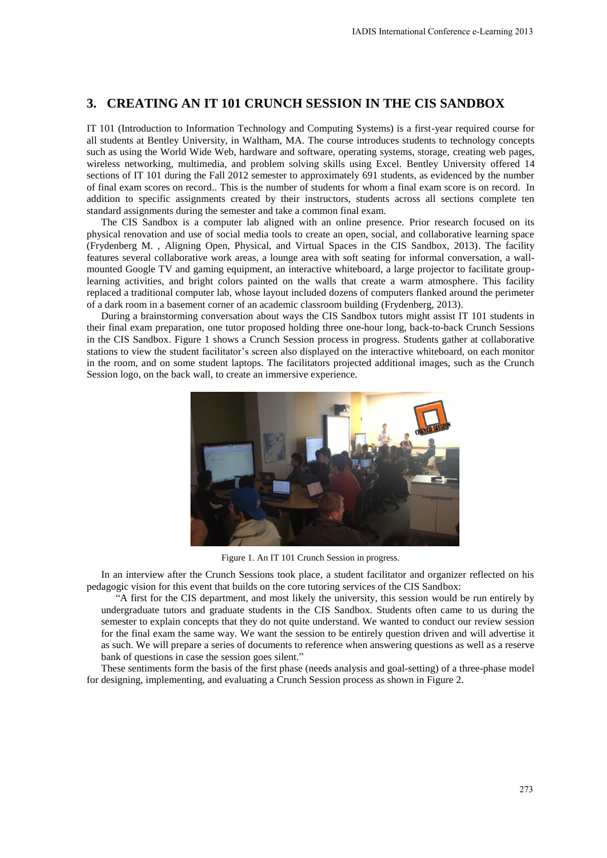# **3. CREATING AN IT 101 CRUNCH SESSION IN THE CIS SANDBOX**

IT 101 (Introduction to Information Technology and Computing Systems) is a first-year required course for all students at Bentley University, in Waltham, MA. The course introduces students to technology concepts such as using the World Wide Web, hardware and software, operating systems, storage, creating web pages, wireless networking, multimedia, and problem solving skills using Excel. Bentley University offered 14 sections of IT 101 during the Fall 2012 semester to approximately 691 students, as evidenced by the number of final exam scores on record.. This is the number of students for whom a final exam score is on record. In addition to specific assignments created by their instructors, students across all sections complete ten standard assignments during the semester and take a common final exam.

The CIS Sandbox is a computer lab aligned with an online presence. Prior research focused on its physical renovation and use of social media tools to create an open, social, and collaborative learning space (Frydenberg M. , Aligning Open, Physical, and Virtual Spaces in the CIS Sandbox, 2013). The facility features several collaborative work areas, a lounge area with soft seating for informal conversation, a wallmounted Google TV and gaming equipment, an interactive whiteboard, a large projector to facilitate grouplearning activities, and bright colors painted on the walls that create a warm atmosphere. This facility replaced a traditional computer lab, whose layout included dozens of computers flanked around the perimeter of a dark room in a basement corner of an academic classroom building (Frydenberg, 2013).

During a brainstorming conversation about ways the CIS Sandbox tutors might assist IT 101 students in their final exam preparation, one tutor proposed holding three one-hour long, back-to-back Crunch Sessions in the CIS Sandbox. Figure 1 shows a Crunch Session process in progress. Students gather at collaborative stations to view the student facilitator's screen also displayed on the interactive whiteboard, on each monitor in the room, and on some student laptops. The facilitators projected additional images, such as the Crunch Session logo, on the back wall, to create an immersive experience.



Figure 1. An IT 101 Crunch Session in progress.

In an interview after the Crunch Sessions took place, a student facilitator and organizer reflected on his pedagogic vision for this event that builds on the core tutoring services of the CIS Sandbox:

"A first for the CIS department, and most likely the university, this session would be run entirely by undergraduate tutors and graduate students in the CIS Sandbox. Students often came to us during the semester to explain concepts that they do not quite understand. We wanted to conduct our review session for the final exam the same way. We want the session to be entirely question driven and will advertise it as such. We will prepare a series of documents to reference when answering questions as well as a reserve bank of questions in case the session goes silent."

These sentiments form the basis of the first phase (needs analysis and goal-setting) of a three-phase model for designing, implementing, and evaluating a Crunch Session process as shown in Figure 2.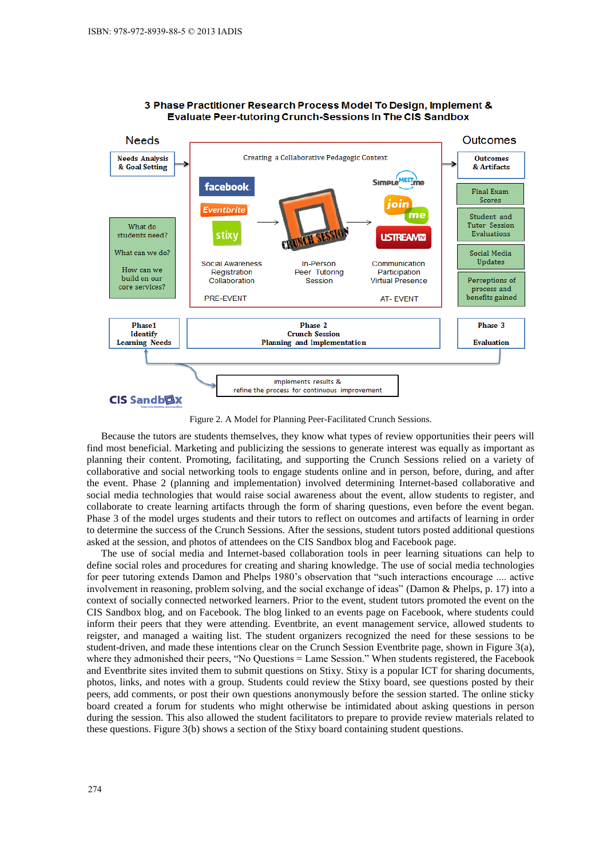

#### 3 Phase Practitioner Research Process Model To Design, Implement & **Evaluate Peer-tutoring Crunch-Sessions In The CIS Sandbox**

Figure 2. A Model for Planning Peer-Facilitated Crunch Sessions.

Because the tutors are students themselves, they know what types of review opportunities their peers will find most beneficial. Marketing and publicizing the sessions to generate interest was equally as important as planning their content. Promoting, facilitating, and supporting the Crunch Sessions relied on a variety of collaborative and social networking tools to engage students online and in person, before, during, and after the event. Phase 2 (planning and implementation) involved determining Internet-based collaborative and social media technologies that would raise social awareness about the event, allow students to register, and collaborate to create learning artifacts through the form of sharing questions, even before the event began. Phase 3 of the model urges students and their tutors to reflect on outcomes and artifacts of learning in order to determine the success of the Crunch Sessions. After the sessions, student tutors posted additional questions asked at the session, and photos of attendees on the CIS Sandbox blog and Facebook page.

The use of social media and Internet-based collaboration tools in peer learning situations can help to define social roles and procedures for creating and sharing knowledge. The use of social media technologies for peer tutoring extends Damon and Phelps 1980's observation that "such interactions encourage .... active involvement in reasoning, problem solving, and the social exchange of ideas" (Damon & Phelps, p. 17) into a context of socially connected networked learners. Prior to the event, student tutors promoted the event on the CIS Sandbox blog, and on Facebook. The blog linked to an events page on Facebook, where students could inform their peers that they were attending. Eventbrite, an event management service, allowed students to reigster, and managed a waiting list. The student organizers recognized the need for these sessions to be student-driven, and made these intentions clear on the Crunch Session Eventbrite page, shown in Figure 3(a), where they admonished their peers, "No Questions = Lame Session." When students registered, the Facebook and Eventbrite sites invited them to submit questions on Stixy. Stixy is a popular ICT for sharing documents, photos, links, and notes with a group. Students could review the Stixy board, see questions posted by their peers, add comments, or post their own questions anonymously before the session started. The online sticky board created a forum for students who might otherwise be intimidated about asking questions in person during the session. This also allowed the student facilitators to prepare to provide review materials related to these questions. Figure 3(b) shows a section of the Stixy board containing student questions.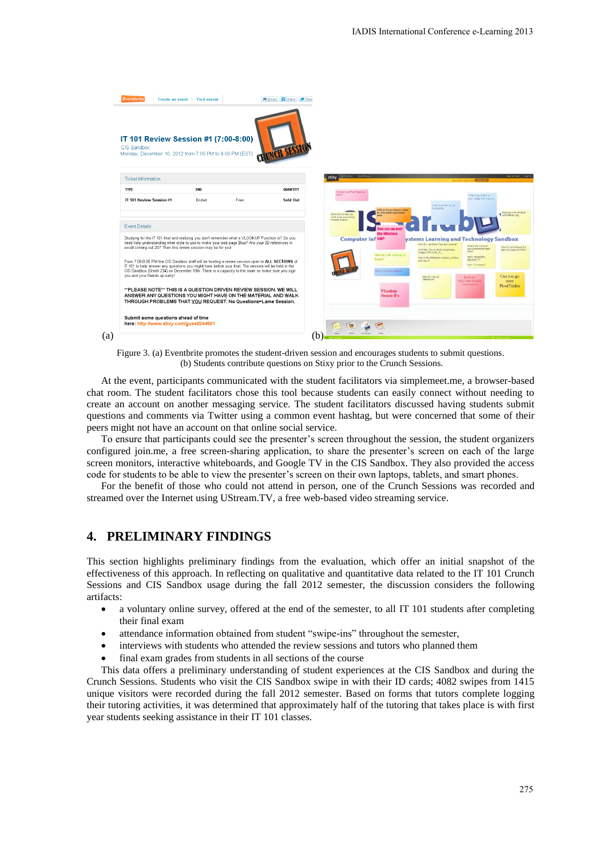

Figure 3. (a) Eventbrite promotes the student-driven session and encourages students to submit questions. (b) Students contribute questions on Stixy prior to the Crunch Sessions.

At the event, participants communicated with the student facilitators via simplemeet.me, a browser-based chat room. The student facilitators chose this tool because students can easily connect without needing to create an account on another messaging service. The student facilitators discussed having students submit questions and comments via Twitter using a common event hashtag, but were concerned that some of their peers might not have an account on that online social service.

To ensure that participants could see the presenter's screen throughout the session, the student organizers configured join.me, a free screen-sharing application, to share the presenter's screen on each of the large screen monitors, interactive whiteboards, and Google TV in the CIS Sandbox. They also provided the access code for students to be able to view the presenter's screen on their own laptops, tablets, and smart phones.

For the benefit of those who could not attend in person, one of the Crunch Sessions was recorded and streamed over the Internet using UStream.TV, a free web-based video streaming service.

### **4. PRELIMINARY FINDINGS**

This section highlights preliminary findings from the evaluation, which offer an initial snapshot of the effectiveness of this approach. In reflecting on qualitative and quantitative data related to the IT 101 Crunch Sessions and CIS Sandbox usage during the fall 2012 semester, the discussion considers the following artifacts:

- a voluntary online survey, offered at the end of the semester, to all IT 101 students after completing their final exam
- attendance information obtained from student "swipe-ins" throughout the semester,
- interviews with students who attended the review sessions and tutors who planned them
- final exam grades from students in all sections of the course

This data offers a preliminary understanding of student experiences at the CIS Sandbox and during the Crunch Sessions. Students who visit the CIS Sandbox swipe in with their ID cards; 4082 swipes from 1415 unique visitors were recorded during the fall 2012 semester. Based on forms that tutors complete logging their tutoring activities, it was determined that approximately half of the tutoring that takes place is with first year students seeking assistance in their IT 101 classes.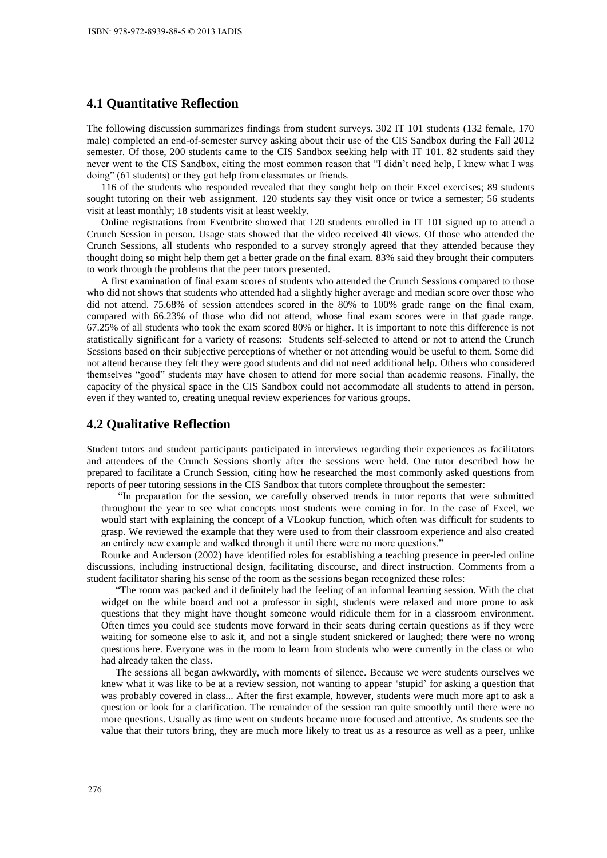### **4.1 Quantitative Reflection**

The following discussion summarizes findings from student surveys. 302 IT 101 students (132 female, 170 male) completed an end-of-semester survey asking about their use of the CIS Sandbox during the Fall 2012 semester. Of those, 200 students came to the CIS Sandbox seeking help with IT 101. 82 students said they never went to the CIS Sandbox, citing the most common reason that "I didn't need help, I knew what I was doing" (61 students) or they got help from classmates or friends.

116 of the students who responded revealed that they sought help on their Excel exercises; 89 students sought tutoring on their web assignment. 120 students say they visit once or twice a semester; 56 students visit at least monthly; 18 students visit at least weekly.

Online registrations from Eventbrite showed that 120 students enrolled in IT 101 signed up to attend a Crunch Session in person. Usage stats showed that the video received 40 views. Of those who attended the Crunch Sessions, all students who responded to a survey strongly agreed that they attended because they thought doing so might help them get a better grade on the final exam. 83% said they brought their computers to work through the problems that the peer tutors presented.

A first examination of final exam scores of students who attended the Crunch Sessions compared to those who did not shows that students who attended had a slightly higher average and median score over those who did not attend. 75.68% of session attendees scored in the 80% to 100% grade range on the final exam, compared with 66.23% of those who did not attend, whose final exam scores were in that grade range. 67.25% of all students who took the exam scored 80% or higher. It is important to note this difference is not statistically significant for a variety of reasons: Students self-selected to attend or not to attend the Crunch Sessions based on their subjective perceptions of whether or not attending would be useful to them. Some did not attend because they felt they were good students and did not need additional help. Others who considered themselves "good" students may have chosen to attend for more social than academic reasons. Finally, the capacity of the physical space in the CIS Sandbox could not accommodate all students to attend in person, even if they wanted to, creating unequal review experiences for various groups.

#### **4.2 Qualitative Reflection**

Student tutors and student participants participated in interviews regarding their experiences as facilitators and attendees of the Crunch Sessions shortly after the sessions were held. One tutor described how he prepared to facilitate a Crunch Session, citing how he researched the most commonly asked questions from reports of peer tutoring sessions in the CIS Sandbox that tutors complete throughout the semester:

"In preparation for the session, we carefully observed trends in tutor reports that were submitted throughout the year to see what concepts most students were coming in for. In the case of Excel, we would start with explaining the concept of a VLookup function, which often was difficult for students to grasp. We reviewed the example that they were used to from their classroom experience and also created an entirely new example and walked through it until there were no more questions."

Rourke and Anderson (2002) have identified roles for establishing a teaching presence in peer-led online discussions, including instructional design, facilitating discourse, and direct instruction. Comments from a student facilitator sharing his sense of the room as the sessions began recognized these roles:

"The room was packed and it definitely had the feeling of an informal learning session. With the chat widget on the white board and not a professor in sight, students were relaxed and more prone to ask questions that they might have thought someone would ridicule them for in a classroom environment. Often times you could see students move forward in their seats during certain questions as if they were waiting for someone else to ask it, and not a single student snickered or laughed; there were no wrong questions here. Everyone was in the room to learn from students who were currently in the class or who had already taken the class.

The sessions all began awkwardly, with moments of silence. Because we were students ourselves we knew what it was like to be at a review session, not wanting to appear 'stupid' for asking a question that was probably covered in class... After the first example, however, students were much more apt to ask a question or look for a clarification. The remainder of the session ran quite smoothly until there were no more questions. Usually as time went on students became more focused and attentive. As students see the value that their tutors bring, they are much more likely to treat us as a resource as well as a peer, unlike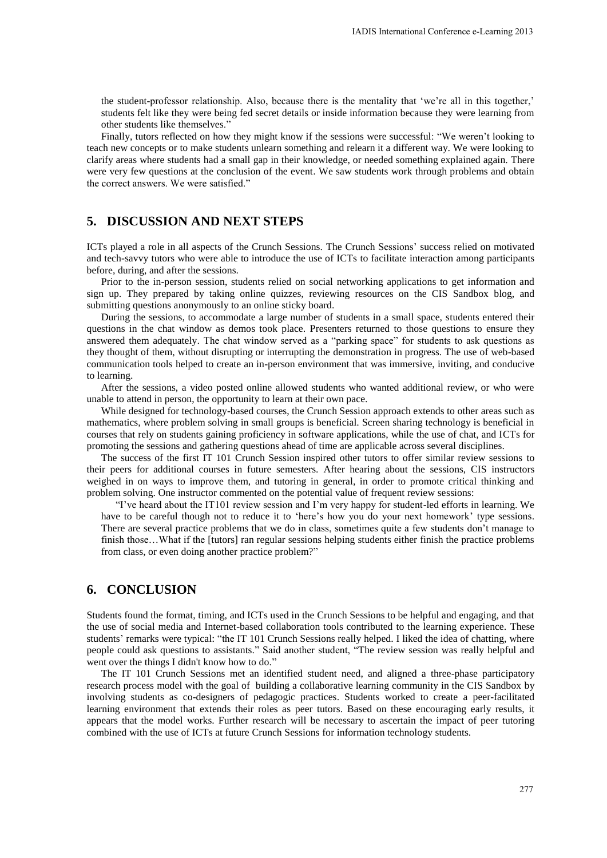the student-professor relationship. Also, because there is the mentality that 'we're all in this together,' students felt like they were being fed secret details or inside information because they were learning from other students like themselves."

Finally, tutors reflected on how they might know if the sessions were successful: "We weren't looking to teach new concepts or to make students unlearn something and relearn it a different way. We were looking to clarify areas where students had a small gap in their knowledge, or needed something explained again. There were very few questions at the conclusion of the event. We saw students work through problems and obtain the correct answers. We were satisfied."

# **5. DISCUSSION AND NEXT STEPS**

ICTs played a role in all aspects of the Crunch Sessions. The Crunch Sessions' success relied on motivated and tech-savvy tutors who were able to introduce the use of ICTs to facilitate interaction among participants before, during, and after the sessions.

Prior to the in-person session, students relied on social networking applications to get information and sign up. They prepared by taking online quizzes, reviewing resources on the CIS Sandbox blog, and submitting questions anonymously to an online sticky board.

During the sessions, to accommodate a large number of students in a small space, students entered their questions in the chat window as demos took place. Presenters returned to those questions to ensure they answered them adequately. The chat window served as a "parking space" for students to ask questions as they thought of them, without disrupting or interrupting the demonstration in progress. The use of web-based communication tools helped to create an in-person environment that was immersive, inviting, and conducive to learning.

After the sessions, a video posted online allowed students who wanted additional review, or who were unable to attend in person, the opportunity to learn at their own pace.

While designed for technology-based courses, the Crunch Session approach extends to other areas such as mathematics, where problem solving in small groups is beneficial. Screen sharing technology is beneficial in courses that rely on students gaining proficiency in software applications, while the use of chat, and ICTs for promoting the sessions and gathering questions ahead of time are applicable across several disciplines.

The success of the first IT 101 Crunch Session inspired other tutors to offer similar review sessions to their peers for additional courses in future semesters. After hearing about the sessions, CIS instructors weighed in on ways to improve them, and tutoring in general, in order to promote critical thinking and problem solving. One instructor commented on the potential value of frequent review sessions:

"I've heard about the IT101 review session and I'm very happy for student-led efforts in learning. We have to be careful though not to reduce it to 'here's how you do your next homework' type sessions. There are several practice problems that we do in class, sometimes quite a few students don't manage to finish those…What if the [tutors] ran regular sessions helping students either finish the practice problems from class, or even doing another practice problem?"

# **6. CONCLUSION**

Students found the format, timing, and ICTs used in the Crunch Sessions to be helpful and engaging, and that the use of social media and Internet-based collaboration tools contributed to the learning experience. These students' remarks were typical: "the IT 101 Crunch Sessions really helped. I liked the idea of chatting, where people could ask questions to assistants." Said another student, "The review session was really helpful and went over the things I didn't know how to do."

The IT 101 Crunch Sessions met an identified student need, and aligned a three-phase participatory research process model with the goal of building a collaborative learning community in the CIS Sandbox by involving students as co-designers of pedagogic practices. Students worked to create a peer-facilitated learning environment that extends their roles as peer tutors. Based on these encouraging early results, it appears that the model works. Further research will be necessary to ascertain the impact of peer tutoring combined with the use of ICTs at future Crunch Sessions for information technology students.